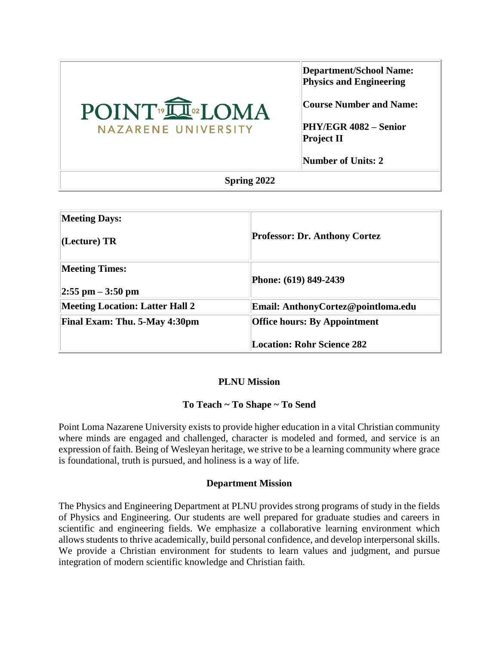| POINT <sup>®</sup> <b>Q</b> ®LOMA<br>NAZARENE UNIVERSITY | Department/School Name:<br><b>Physics and Engineering</b><br> Course Number and Name:<br>PHY/EGR 4082 – Senior<br>Project II<br>Number of Units: 2 |  |  |
|----------------------------------------------------------|----------------------------------------------------------------------------------------------------------------------------------------------------|--|--|
| Spring 2022                                              |                                                                                                                                                    |  |  |

| <b>Professor: Dr. Anthony Cortez</b>                                     |
|--------------------------------------------------------------------------|
| Phone: (619) 849-2439                                                    |
| Email: AnthonyCortez@pointloma.edu                                       |
| <b>Office hours: By Appointment</b><br><b>Location: Rohr Science 282</b> |
|                                                                          |

#### **PLNU Mission**

## **To Teach ~ To Shape ~ To Send**

Point Loma Nazarene University exists to provide higher education in a vital Christian community where minds are engaged and challenged, character is modeled and formed, and service is an expression of faith. Being of Wesleyan heritage, we strive to be a learning community where grace is foundational, truth is pursued, and holiness is a way of life.

#### **Department Mission**

The Physics and Engineering Department at PLNU provides strong programs of study in the fields of Physics and Engineering. Our students are well prepared for graduate studies and careers in scientific and engineering fields. We emphasize a collaborative learning environment which allows students to thrive academically, build personal confidence, and develop interpersonal skills. We provide a Christian environment for students to learn values and judgment, and pursue integration of modern scientific knowledge and Christian faith.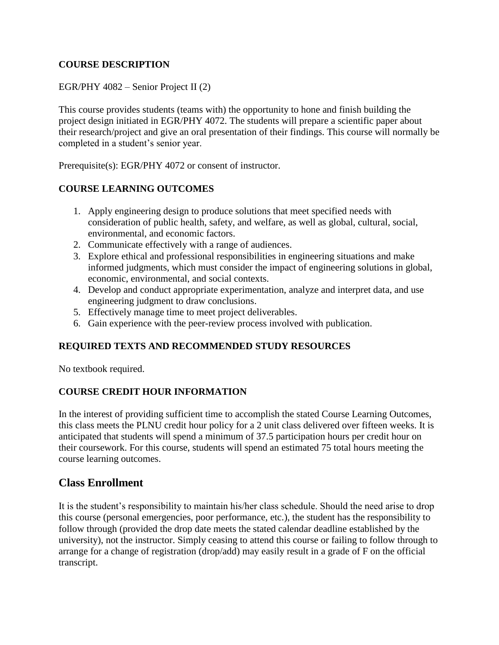## **COURSE DESCRIPTION**

EGR/PHY 4082 – Senior Project II (2)

This course provides students (teams with) the opportunity to hone and finish building the project design initiated in EGR/PHY 4072. The students will prepare a scientific paper about their research/project and give an oral presentation of their findings. This course will normally be completed in a student's senior year.

Prerequisite(s): EGR/PHY 4072 or consent of instructor.

## **COURSE LEARNING OUTCOMES**

- 1. Apply engineering design to produce solutions that meet specified needs with consideration of public health, safety, and welfare, as well as global, cultural, social, environmental, and economic factors.
- 2. Communicate effectively with a range of audiences.
- 3. Explore ethical and professional responsibilities in engineering situations and make informed judgments, which must consider the impact of engineering solutions in global, economic, environmental, and social contexts.
- 4. Develop and conduct appropriate experimentation, analyze and interpret data, and use engineering judgment to draw conclusions.
- 5. Effectively manage time to meet project deliverables.
- 6. Gain experience with the peer-review process involved with publication.

## **REQUIRED TEXTS AND RECOMMENDED STUDY RESOURCES**

No textbook required.

## **COURSE CREDIT HOUR INFORMATION**

In the interest of providing sufficient time to accomplish the stated Course Learning Outcomes, this class meets the PLNU credit hour policy for a 2 unit class delivered over fifteen weeks. It is anticipated that students will spend a minimum of 37.5 participation hours per credit hour on their coursework. For this course, students will spend an estimated 75 total hours meeting the course learning outcomes.

# **Class Enrollment**

It is the student's responsibility to maintain his/her class schedule. Should the need arise to drop this course (personal emergencies, poor performance, etc.), the student has the responsibility to follow through (provided the drop date meets the stated calendar deadline established by the university), not the instructor. Simply ceasing to attend this course or failing to follow through to arrange for a change of registration (drop/add) may easily result in a grade of F on the official transcript.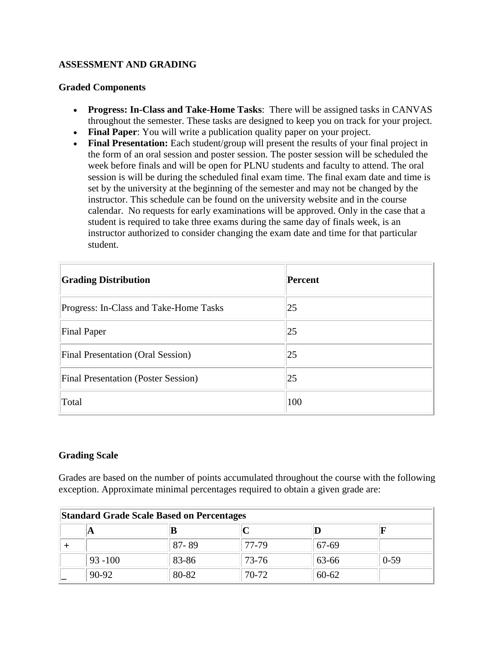#### **ASSESSMENT AND GRADING**

#### **Graded Components**

- **Progress: In-Class and Take-Home Tasks**: There will be assigned tasks in CANVAS throughout the semester. These tasks are designed to keep you on track for your project.
- **Final Paper**: You will write a publication quality paper on your project.
- Final Presentation: Each student/group will present the results of your final project in the form of an oral session and poster session. The poster session will be scheduled the week before finals and will be open for PLNU students and faculty to attend. The oral session is will be during the scheduled final exam time. The final exam date and time is set by the university at the beginning of the semester and may not be changed by the instructor. This schedule can be found on the university website and in the course calendar. No requests for early examinations will be approved. Only in the case that a student is required to take three exams during the same day of finals week, is an instructor authorized to consider changing the exam date and time for that particular student.

| <b>Grading Distribution</b>                | Percent |
|--------------------------------------------|---------|
| Progress: In-Class and Take-Home Tasks     | 25      |
| <b>Final Paper</b>                         | 25      |
| <b>Final Presentation (Oral Session)</b>   | 25      |
| <b>Final Presentation (Poster Session)</b> | 25      |
| Total                                      | 100     |

#### **Grading Scale**

Grades are based on the number of points accumulated throughout the course with the following exception. Approximate minimal percentages required to obtain a given grade are:

| <b>Standard Grade Scale Based on Percentages</b> |            |       |       |           |        |  |  |
|--------------------------------------------------|------------|-------|-------|-----------|--------|--|--|
|                                                  | A          |       |       |           |        |  |  |
|                                                  |            | 87-89 | 77-79 | 67-69     |        |  |  |
|                                                  | $93 - 100$ | 83-86 | 73-76 | 63-66     | $0-59$ |  |  |
|                                                  | 90-92      | 80-82 | 70-72 | $60 - 62$ |        |  |  |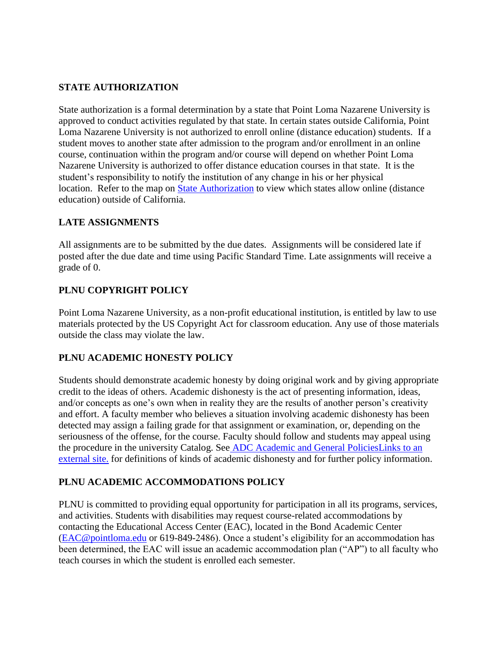## **STATE AUTHORIZATION**

State authorization is a formal determination by a state that Point Loma Nazarene University is approved to conduct activities regulated by that state. In certain states outside California, Point Loma Nazarene University is not authorized to enroll online (distance education) students. If a student moves to another state after admission to the program and/or enrollment in an online course, continuation within the program and/or course will depend on whether Point Loma Nazarene University is authorized to offer distance education courses in that state. It is the student's responsibility to notify the institution of any change in his or her physical location. Refer to the map on [State Authorization](https://www.pointloma.edu/offices/office-institutional-effectiveness-research/disclosures) to view which states allow online (distance education) outside of California.

## **LATE ASSIGNMENTS**

All assignments are to be submitted by the due dates. Assignments will be considered late if posted after the due date and time using Pacific Standard Time. Late assignments will receive a grade of 0.

# **PLNU COPYRIGHT POLICY**

Point Loma Nazarene University, as a non-profit educational institution, is entitled by law to use materials protected by the US Copyright Act for classroom education. Any use of those materials outside the class may violate the law.

## **PLNU ACADEMIC HONESTY POLICY**

Students should demonstrate academic honesty by doing original work and by giving appropriate credit to the ideas of others. Academic dishonesty is the act of presenting information, ideas, and/or concepts as one's own when in reality they are the results of another person's creativity and effort. A faculty member who believes a situation involving academic dishonesty has been detected may assign a failing grade for that assignment or examination, or, depending on the seriousness of the offense, for the course. Faculty should follow and students may appeal using the procedure in the university Catalog. See [ADC Academic and General PoliciesLinks to an](https://catalog.pointloma.edu/content.php?catoid=48&navoid=2757#Academic_Honesty)  [external site.](https://catalog.pointloma.edu/content.php?catoid=48&navoid=2757#Academic_Honesty) for definitions of kinds of academic dishonesty and for further policy information.

# **PLNU ACADEMIC ACCOMMODATIONS POLICY**

PLNU is committed to providing equal opportunity for participation in all its programs, services, and activities. Students with disabilities may request course-related accommodations by contacting the Educational Access Center (EAC), located in the Bond Academic Center [\(EAC@pointloma.edu](mailto:EAC@pointloma.edu) or 619-849-2486). Once a student's eligibility for an accommodation has been determined, the EAC will issue an academic accommodation plan ("AP") to all faculty who teach courses in which the student is enrolled each semester.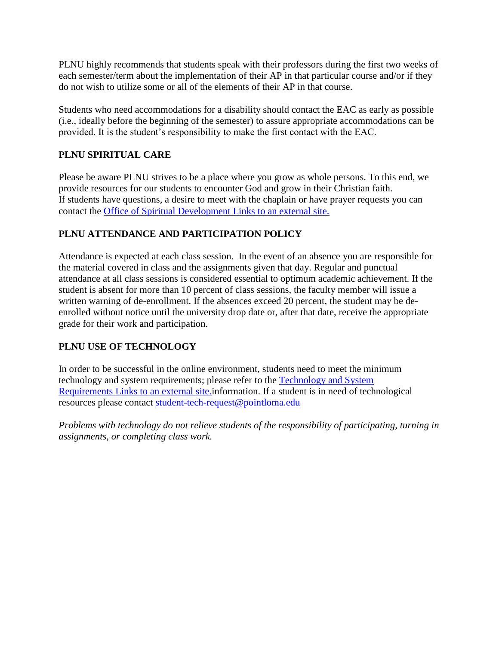PLNU highly recommends that students speak with their professors during the first two weeks of each semester/term about the implementation of their AP in that particular course and/or if they do not wish to utilize some or all of the elements of their AP in that course.

Students who need accommodations for a disability should contact the EAC as early as possible (i.e., ideally before the beginning of the semester) to assure appropriate accommodations can be provided. It is the student's responsibility to make the first contact with the EAC.

# **PLNU SPIRITUAL CARE**

Please be aware PLNU strives to be a place where you grow as whole persons. To this end, we provide resources for our students to encounter God and grow in their Christian faith. If students have questions, a desire to meet with the chaplain or have prayer requests you can contact the [Office of Spiritual Development](https://www.pointloma.edu/offices/spiritual-development) Links to an external site.

# **PLNU ATTENDANCE AND PARTICIPATION POLICY**

Attendance is expected at each class session. In the event of an absence you are responsible for the material covered in class and the assignments given that day. Regular and punctual attendance at all class sessions is considered essential to optimum academic achievement. If the student is absent for more than 10 percent of class sessions, the faculty member will issue a written warning of de-enrollment. If the absences exceed 20 percent, the student may be deenrolled without notice until the university drop date or, after that date, receive the appropriate grade for their work and participation.

# **PLNU USE OF TECHNOLOGY**

In order to be successful in the online environment, students need to meet the minimum technology and system requirements; please refer to the [Technology and System](https://help.pointloma.edu/TDClient/1808/Portal/KB/ArticleDet?ID=108349)  Requirements [Links to an external site.i](https://help.pointloma.edu/TDClient/1808/Portal/KB/ArticleDet?ID=108349)nformation. If a student is in need of technological resources please contact [student-tech-request@pointloma.edu](mailto:student-tech-request@pointloma.edu)

*Problems with technology do not relieve students of the responsibility of participating, turning in assignments, or completing class work.*